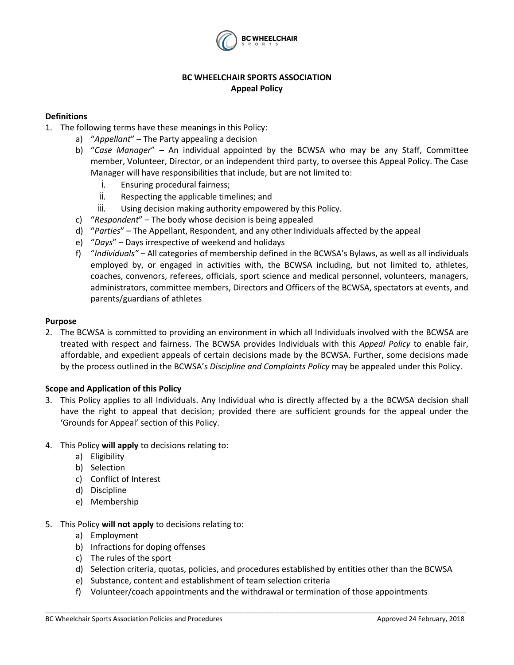

# **BC WHEELCHAIR SPORTS ASSOCIATION Appeal Policy**

## **Definitions**

- 1. The following terms have these meanings in this Policy:
	- a) "*Appellant*" The Party appealing a decision
	- b) "*Case Manager*" An individual appointed by the BCWSA who may be any Staff, Committee member, Volunteer, Director, or an independent third party, to oversee this Appeal Policy. The Case Manager will have responsibilities that include, but are not limited to:
		- i. Ensuring procedural fairness;
		- ii. Respecting the applicable timelines; and
		- iii. Using decision making authority empowered by this Policy.
	- c) "*Respondent*" The body whose decision is being appealed
	- d) "*Parties*" The Appellant, Respondent, and any other Individuals affected by the appeal
	- e) "*Days*" Days irrespective of weekend and holidays
	- f) "*Individuals"* All categories of membership defined in the BCWSA's Bylaws, as well as all individuals employed by, or engaged in activities with, the BCWSA including, but not limited to, athletes, coaches, convenors, referees, officials, sport science and medical personnel, volunteers, managers, administrators, committee members, Directors and Officers of the BCWSA, spectators at events, and parents/guardians of athletes

#### **Purpose**

2. The BCWSA is committed to providing an environment in which all Individuals involved with the BCWSA are treated with respect and fairness. The BCWSA provides Individuals with this *Appeal Policy* to enable fair, affordable, and expedient appeals of certain decisions made by the BCWSA. Further, some decisions made by the process outlined in the BCWSA's *Discipline and Complaints Policy* may be appealed under this Policy.

### **Scope and Application of this Policy**

- 3. This Policy applies to all Individuals. Any Individual who is directly affected by a the BCWSA decision shall have the right to appeal that decision; provided there are sufficient grounds for the appeal under the 'Grounds for Appeal' section of this Policy.
- 4. This Policy **will apply** to decisions relating to:
	- a) Eligibility
	- b) Selection
	- c) Conflict of Interest
	- d) Discipline
	- e) Membership
- 5. This Policy **will not apply** to decisions relating to:
	- a) Employment
	- b) Infractions for doping offenses
	- c) The rules of the sport
	- d) Selection criteria, quotas, policies, and procedures established by entities other than the BCWSA
	- e) Substance, content and establishment of team selection criteria
	- f) Volunteer/coach appointments and the withdrawal or termination of those appointments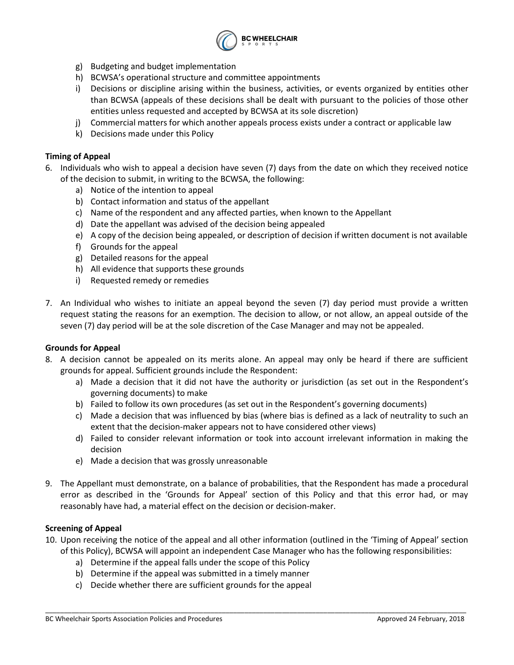

- g) Budgeting and budget implementation
- h) BCWSA's operational structure and committee appointments
- i) Decisions or discipline arising within the business, activities, or events organized by entities other than BCWSA (appeals of these decisions shall be dealt with pursuant to the policies of those other entities unless requested and accepted by BCWSA at its sole discretion)
- j) Commercial matters for which another appeals process exists under a contract or applicable law
- k) Decisions made under this Policy

### **Timing of Appeal**

- 6. Individuals who wish to appeal a decision have seven (7) days from the date on which they received notice of the decision to submit, in writing to the BCWSA, the following:
	- a) Notice of the intention to appeal
	- b) Contact information and status of the appellant
	- c) Name of the respondent and any affected parties, when known to the Appellant
	- d) Date the appellant was advised of the decision being appealed
	- e) A copy of the decision being appealed, or description of decision if written document is not available
	- f) Grounds for the appeal
	- g) Detailed reasons for the appeal
	- h) All evidence that supports these grounds
	- i) Requested remedy or remedies
- 7. An Individual who wishes to initiate an appeal beyond the seven (7) day period must provide a written request stating the reasons for an exemption. The decision to allow, or not allow, an appeal outside of the seven (7) day period will be at the sole discretion of the Case Manager and may not be appealed.

### **Grounds for Appeal**

- 8. A decision cannot be appealed on its merits alone. An appeal may only be heard if there are sufficient grounds for appeal. Sufficient grounds include the Respondent:
	- a) Made a decision that it did not have the authority or jurisdiction (as set out in the Respondent's governing documents) to make
	- b) Failed to follow its own procedures (as set out in the Respondent's governing documents)
	- c) Made a decision that was influenced by bias (where bias is defined as a lack of neutrality to such an extent that the decision-maker appears not to have considered other views)
	- d) Failed to consider relevant information or took into account irrelevant information in making the decision
	- e) Made a decision that was grossly unreasonable
- 9. The Appellant must demonstrate, on a balance of probabilities, that the Respondent has made a procedural error as described in the 'Grounds for Appeal' section of this Policy and that this error had, or may reasonably have had, a material effect on the decision or decision-maker.

### **Screening of Appeal**

10. Upon receiving the notice of the appeal and all other information (outlined in the 'Timing of Appeal' section of this Policy), BCWSA will appoint an independent Case Manager who has the following responsibilities:

- a) Determine if the appeal falls under the scope of this Policy
- b) Determine if the appeal was submitted in a timely manner
- c) Decide whether there are sufficient grounds for the appeal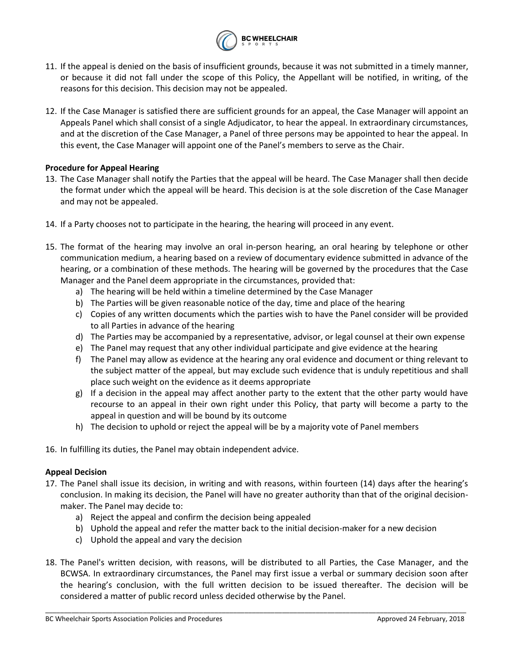

- 11. If the appeal is denied on the basis of insufficient grounds, because it was not submitted in a timely manner, or because it did not fall under the scope of this Policy, the Appellant will be notified, in writing, of the reasons for this decision. This decision may not be appealed.
- 12. If the Case Manager is satisfied there are sufficient grounds for an appeal, the Case Manager will appoint an Appeals Panel which shall consist of a single Adjudicator, to hear the appeal. In extraordinary circumstances, and at the discretion of the Case Manager, a Panel of three persons may be appointed to hear the appeal. In this event, the Case Manager will appoint one of the Panel's members to serve as the Chair.

## **Procedure for Appeal Hearing**

- 13. The Case Manager shall notify the Parties that the appeal will be heard. The Case Manager shall then decide the format under which the appeal will be heard. This decision is at the sole discretion of the Case Manager and may not be appealed.
- 14. If a Party chooses not to participate in the hearing, the hearing will proceed in any event.
- 15. The format of the hearing may involve an oral in-person hearing, an oral hearing by telephone or other communication medium, a hearing based on a review of documentary evidence submitted in advance of the hearing, or a combination of these methods. The hearing will be governed by the procedures that the Case Manager and the Panel deem appropriate in the circumstances, provided that:
	- a) The hearing will be held within a timeline determined by the Case Manager
	- b) The Parties will be given reasonable notice of the day, time and place of the hearing
	- c) Copies of any written documents which the parties wish to have the Panel consider will be provided to all Parties in advance of the hearing
	- d) The Parties may be accompanied by a representative, advisor, or legal counsel at their own expense
	- e) The Panel may request that any other individual participate and give evidence at the hearing
	- f) The Panel may allow as evidence at the hearing any oral evidence and document or thing relevant to the subject matter of the appeal, but may exclude such evidence that is unduly repetitious and shall place such weight on the evidence as it deems appropriate
	- g) If a decision in the appeal may affect another party to the extent that the other party would have recourse to an appeal in their own right under this Policy, that party will become a party to the appeal in question and will be bound by its outcome
	- h) The decision to uphold or reject the appeal will be by a majority vote of Panel members
- 16. In fulfilling its duties, the Panel may obtain independent advice.

### **Appeal Decision**

- 17. The Panel shall issue its decision, in writing and with reasons, within fourteen (14) days after the hearing's conclusion. In making its decision, the Panel will have no greater authority than that of the original decisionmaker. The Panel may decide to:
	- a) Reject the appeal and confirm the decision being appealed
	- b) Uphold the appeal and refer the matter back to the initial decision-maker for a new decision
	- c) Uphold the appeal and vary the decision
- 18. The Panel's written decision, with reasons, will be distributed to all Parties, the Case Manager, and the BCWSA. In extraordinary circumstances, the Panel may first issue a verbal or summary decision soon after the hearing's conclusion, with the full written decision to be issued thereafter. The decision will be considered a matter of public record unless decided otherwise by the Panel.